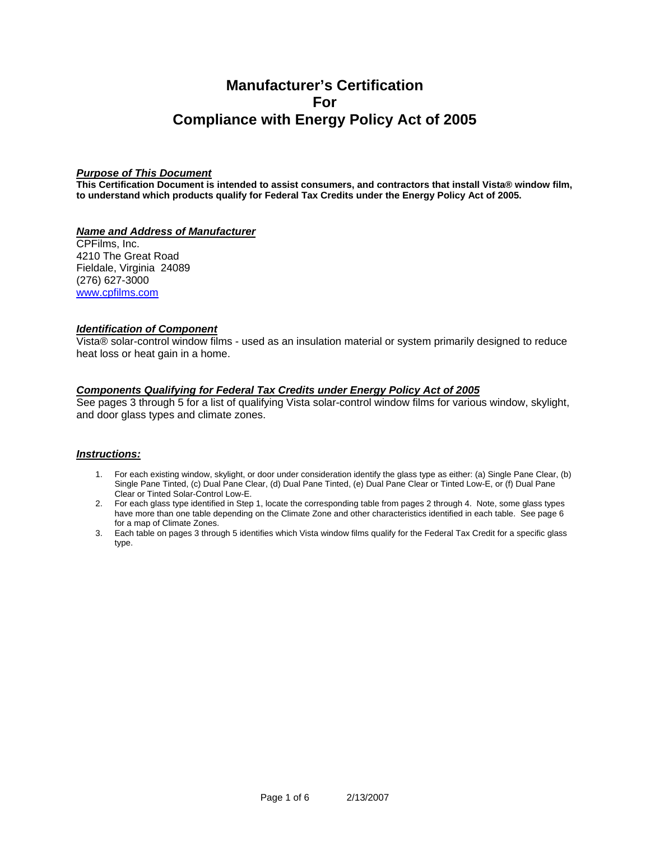# **Manufacturer's Certification For Compliance with Energy Policy Act of 2005**

#### *Purpose of This Document*

**This Certification Document is intended to assist consumers, and contractors that install Vista® window film, to understand which products qualify for Federal Tax Credits under the Energy Policy Act of 2005.**

#### *Name and Address of Manufacturer*

CPFilms, Inc. 4210 The Great Road Fieldale, Virginia 24089 (276) 627-3000 [www.cpfilms.com](http://www.cpfilms.com/)

#### *Identification of Component*

Vista® solar-control window films - used as an insulation material or system primarily designed to reduce heat loss or heat gain in a home.

## *Components Qualifying for Federal Tax Credits under Energy Policy Act of 2005*

See pages 3 through 5 for a list of qualifying Vista solar-control window films for various window, skylight, and door glass types and climate zones.

#### *Instructions:*

- 1. For each existing window, skylight, or door under consideration identify the glass type as either: (a) Single Pane Clear, (b) Single Pane Tinted, (c) Dual Pane Clear, (d) Dual Pane Tinted, (e) Dual Pane Clear or Tinted Low-E, or (f) Dual Pane Clear or Tinted Solar-Control Low-E.
- 2. For each glass type identified in Step 1, locate the corresponding table from pages 2 through 4. Note, some glass types have more than one table depending on the Climate Zone and other characteristics identified in each table. See page 6 for a map of Climate Zones.
- 3. Each table on pages 3 through 5 identifies which Vista window films qualify for the Federal Tax Credit for a specific glass type.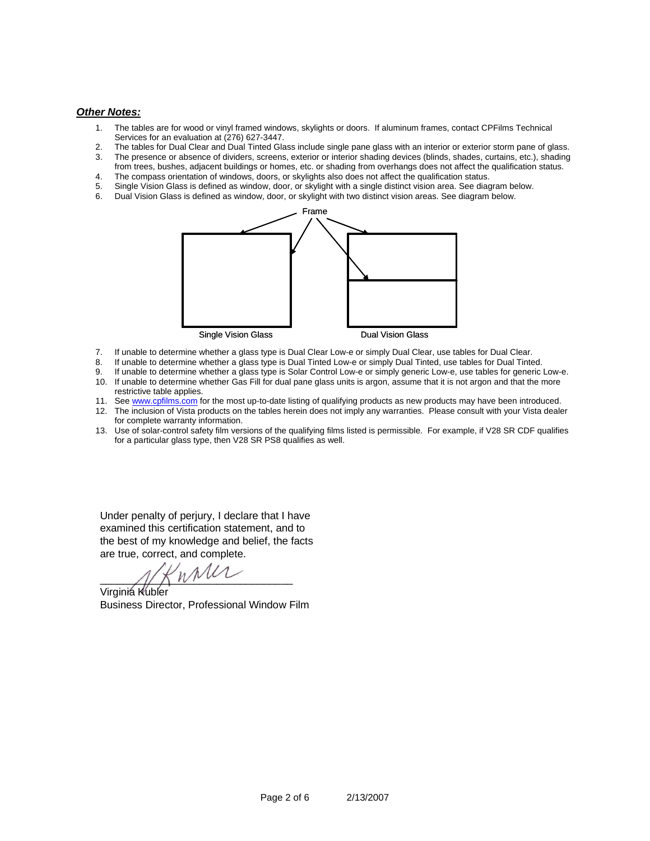#### *Other Notes:*

- 1. The tables are for wood or vinyl framed windows, skylights or doors. If aluminum frames, contact CPFilms Technical Services for an evaluation at (276) 627-3447.
- 2. The tables for Dual Clear and Dual Tinted Glass include single pane glass with an interior or exterior storm pane of glass.
- 3. The presence or absence of dividers, screens, exterior or interior shading devices (blinds, shades, curtains, etc.), shading from trees, bushes, adjacent buildings or homes, etc. or shading from overhangs does not affect the qualification status.
- 4. The compass orientation of windows, doors, or skylights also does not affect the qualification status.
- 5. Single Vision Glass is defined as window, door, or skylight with a single distinct vision area. See diagram below.
- 6. Dual Vision Glass is defined as window, door, or skylight with two distinct vision areas. See diagram below.



- 7. If unable to determine whether a glass type is Dual Clear Low-e or simply Dual Clear, use tables for Dual Clear.
- 8. If unable to determine whether a glass type is Dual Tinted Low-e or simply Dual Tinted, use tables for Dual Tinted.
- 9. If unable to determine whether a glass type is Solar Control Low-e or simply generic Low-e, use tables for generic Low-e.
- 10. If unable to determine whether Gas Fill for dual pane glass units is argon, assume that it is not argon and that the more restrictive table applies.
- 11. See [www.cpfilms.com](http://www.cpfilms.com/) for the most up-to-date listing of qualifying products as new products may have been introduced.
- 12. The inclusion of Vista products on the tables herein does not imply any warranties. Please consult with your Vista dealer for complete warranty information.
- 13. Use of solar-control safety film versions of the qualifying films listed is permissible. For example, if V28 SR CDF qualifies for a particular glass type, then V28 SR PS8 qualifies as well.

Under penalty of perjury, I declare that I have examined this certification statement, and to the best of my knowledge and belief, the facts are t rue, correct, and complete.

 $\frac{1}{2}$ 

Virgi nia Kubler Business Director, Professional Window Film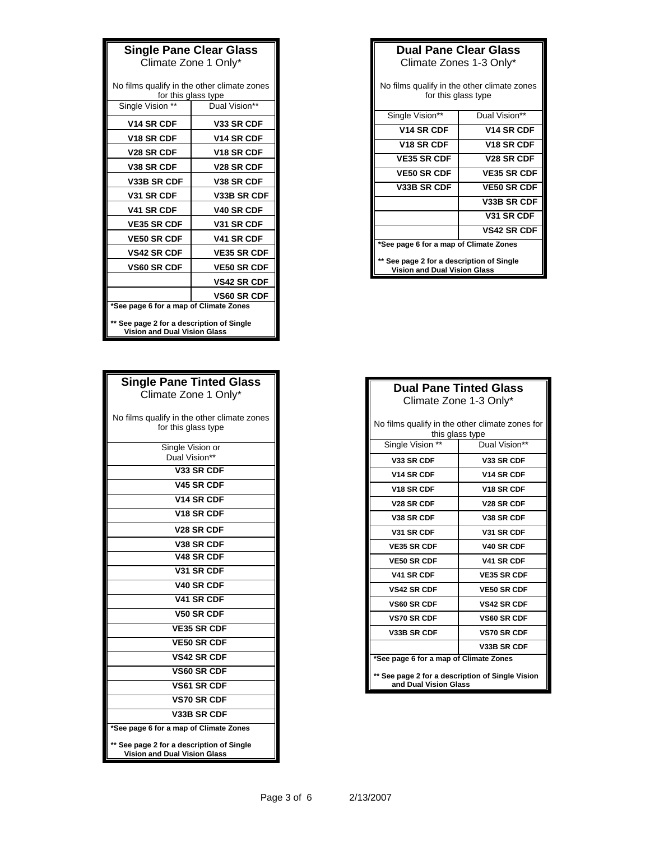| <b>Single Pane Clear Glass</b>              |                    |  |
|---------------------------------------------|--------------------|--|
| Climate Zone 1 Only*                        |                    |  |
|                                             |                    |  |
| No films qualify in the other climate zones |                    |  |
| for this glass type                         |                    |  |
| Single Vision **                            | Dual Vision**      |  |
| <b>V14 SR CDF</b>                           | V33 SR CDF         |  |
| <b>V18 SR CDF</b>                           | <b>V14 SR CDF</b>  |  |
| <b>V28 SR CDF</b>                           | <b>V18 SR CDF</b>  |  |
| <b>V38 SR CDF</b>                           | <b>V28 SR CDF</b>  |  |
| V33B SR CDF                                 | <b>V38 SR CDF</b>  |  |
| <b>V31 SR CDF</b>                           | V33B SR CDF        |  |
| <b>V41 SR CDF</b>                           | <b>V40 SR CDF</b>  |  |
| <b>VE35 SR CDF</b>                          | V31 SR CDF         |  |
| <b>VE50 SR CDF</b>                          | <b>V41 SR CDF</b>  |  |
| <b>VS42 SR CDF</b>                          | <b>VE35 SR CDF</b> |  |
| <b>VS60 SR CDF</b>                          | <b>VE50 SR CDF</b> |  |
|                                             | <b>VS42 SR CDF</b> |  |
|                                             | <b>VS60 SR CDF</b> |  |
| *See page 6 for a map of Climate Zones      |                    |  |
| ** See page 2 for a description of Single   |                    |  |
| <b>Vision and Dual Vision Glass</b>         |                    |  |

| <b>Single Pane Tinted Glass</b>                                                  |  |  |
|----------------------------------------------------------------------------------|--|--|
| Climate Zone 1 Only*                                                             |  |  |
| No films qualify in the other climate zones                                      |  |  |
| for this glass type                                                              |  |  |
| Single Vision or<br>Dual Vision**                                                |  |  |
| V33 SR CDF                                                                       |  |  |
| V45 SR CDF                                                                       |  |  |
| V <sub>14</sub> SR CDF                                                           |  |  |
| V <sub>18</sub> SR CDF                                                           |  |  |
| V <sub>28</sub> SR CDF                                                           |  |  |
| V <sub>38</sub> SR CDF                                                           |  |  |
| V48 SR CDF                                                                       |  |  |
| V31 SR CDF                                                                       |  |  |
| V40 SR CDF                                                                       |  |  |
| V41 SR CDF                                                                       |  |  |
| V50 SR CDF                                                                       |  |  |
| <b>VE35 SR CDF</b>                                                               |  |  |
| <b>VE50 SR CDF</b>                                                               |  |  |
| <b>VS42 SR CDF</b>                                                               |  |  |
| <b>VS60 SR CDF</b>                                                               |  |  |
| <b>VS61 SR CDF</b>                                                               |  |  |
| <b>VS70 SR CDF</b>                                                               |  |  |
| V33B SR CDF                                                                      |  |  |
| *See page 6 for a map of Climate Zones                                           |  |  |
| ** See page 2 for a description of Single<br><b>Vision and Dual Vision Glass</b> |  |  |

| <b>Dual Pane Clear Glass</b><br>Climate Zones 1-3 Only*                          |                        |  |
|----------------------------------------------------------------------------------|------------------------|--|
| No films qualify in the other climate zones<br>for this glass type               |                        |  |
| Single Vision**                                                                  | Dual Vision**          |  |
| V <sub>14</sub> SR CDF                                                           | V <sub>14</sub> SR CDF |  |
| V <sub>18</sub> SR CDF                                                           | V <sub>18</sub> SR CDF |  |
| <b>VE35 SR CDF</b>                                                               | V <sub>28</sub> SR CDF |  |
| <b>VE50 SR CDF</b>                                                               | <b>VE35 SR CDF</b>     |  |
| <b>V33B SR CDF</b>                                                               | <b>VE50 SR CDF</b>     |  |
|                                                                                  | V33B SR CDF            |  |
|                                                                                  | V31 SR CDF             |  |
|                                                                                  | <b>VS42 SR CDF</b>     |  |
| *See page 6 for a map of Climate Zones                                           |                        |  |
| ** See page 2 for a description of Single<br><b>Vision and Dual Vision Glass</b> |                        |  |

IT

ī.

| <b>Dual Pane Tinted Glass</b>                                             |                        |  |  |
|---------------------------------------------------------------------------|------------------------|--|--|
| Climate Zone 1-3 Only*                                                    |                        |  |  |
| No films qualify in the other climate zones for<br>this glass type        |                        |  |  |
| Single Vision **                                                          | Dual Vision**          |  |  |
| <b>V33 SR CDF</b>                                                         | <b>V33 SR CDF</b>      |  |  |
| V <sub>14</sub> SR CDF                                                    | V <sub>14</sub> SR CDF |  |  |
| <b>V18 SR CDF</b>                                                         | <b>V18 SR CDF</b>      |  |  |
| <b>V28 SR CDF</b>                                                         | <b>V28 SR CDF</b>      |  |  |
| <b>V38 SR CDF</b>                                                         | <b>V38 SR CDF</b>      |  |  |
| V31 SR CDF                                                                | V31 SR CDF             |  |  |
| <b>VE35 SR CDF</b>                                                        | <b>V40 SR CDF</b>      |  |  |
| <b>VE50 SR CDF</b>                                                        | <b>V41 SR CDF</b>      |  |  |
| V41 SR CDF                                                                | <b>VE35 SR CDF</b>     |  |  |
| <b>VS42 SR CDF</b>                                                        | <b>VE50 SR CDF</b>     |  |  |
| <b>VS60 SR CDF</b>                                                        | <b>VS42 SR CDF</b>     |  |  |
| <b>VS70 SR CDF</b>                                                        | <b>VS60 SR CDF</b>     |  |  |
| <b>V33B SR CDF</b>                                                        | <b>VS70 SR CDF</b>     |  |  |
|                                                                           | <b>V33B SR CDF</b>     |  |  |
| *See page 6 for a map of Climate Zones                                    |                        |  |  |
| ** See page 2 for a description of Single Vision<br>and Dual Vision Glass |                        |  |  |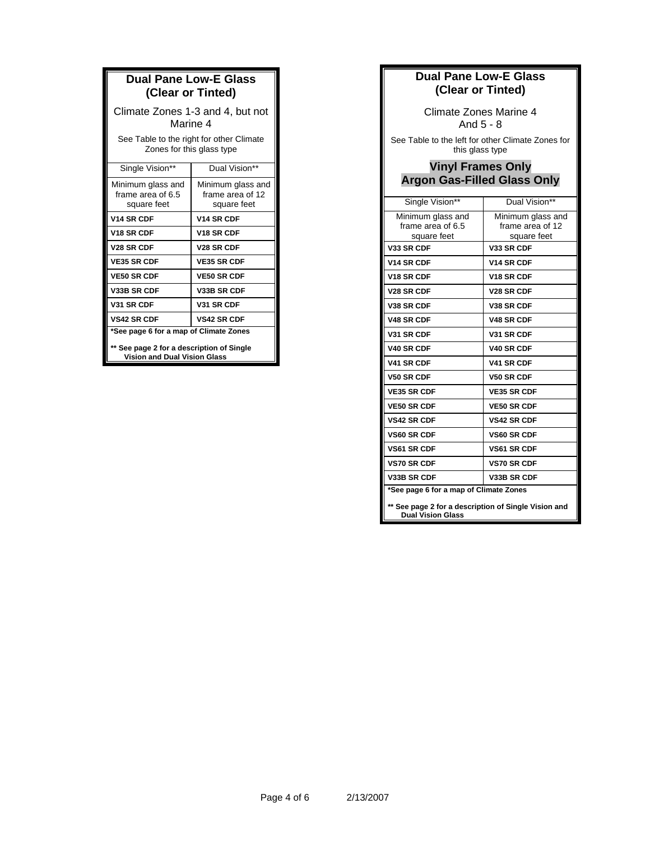| <b>Dual Pane Low-E Glass</b><br>(Clear or Tinted)                                |                                                      |  |
|----------------------------------------------------------------------------------|------------------------------------------------------|--|
| Climate Zones 1-3 and 4, but not<br>Marine 4                                     |                                                      |  |
| See Table to the right for other Climate<br>Zones for this glass type            |                                                      |  |
| Single Vision**                                                                  | Dual Vision**                                        |  |
| Minimum glass and<br>frame area of 6.5<br>square feet                            | Minimum glass and<br>frame area of 12<br>square feet |  |
| <b>V14 SR CDF</b>                                                                | <b>V14 SR CDF</b>                                    |  |
| V <sub>18</sub> SR CDF                                                           | V <sub>18</sub> SR CDF                               |  |
| V <sub>28</sub> SR CDF                                                           | V <sub>28</sub> SR CDF                               |  |
| <b>VE35 SR CDF</b>                                                               | <b>VE35 SR CDF</b>                                   |  |
| <b>VE50 SR CDF</b>                                                               | <b>VE50 SR CDF</b>                                   |  |
| V33B SR CDF                                                                      | <b>V33B SR CDF</b>                                   |  |
| V31 SR CDF                                                                       | V31 SR CDF                                           |  |
| <b>VS42 SR CDF</b>                                                               | <b>VS42 SR CDF</b>                                   |  |
| *See page 6 for a map of Climate Zones                                           |                                                      |  |
| ** See page 2 for a description of Single<br><b>Vision and Dual Vision Glass</b> |                                                      |  |

## **Dual Pane Low-E Glass (Clear or Tinted)**

Climate Zones Marine 4 And 5 - 8

See Table to the left for other Climate Zones for this glass type

## **Vinyl Frames Only Argon Gas-Filled Glass Only**

| Single Vision**                                                                                                            | Dual Vision**                                        |
|----------------------------------------------------------------------------------------------------------------------------|------------------------------------------------------|
| Minimum glass and<br>frame area of 6.5<br>square feet                                                                      | Minimum glass and<br>frame area of 12<br>square feet |
| V33 SR CDF                                                                                                                 | V33 SR CDF                                           |
| V14 SR CDF                                                                                                                 | V14 SR CDF                                           |
| V <sub>18</sub> SR CDF                                                                                                     | V <sub>18</sub> SR CDF                               |
| V <sub>28</sub> SR CDF                                                                                                     | V <sub>28</sub> SR CDF                               |
| V38 SR CDF                                                                                                                 | V38 SR CDF                                           |
| V48 SR CDF                                                                                                                 | V48 SR CDF                                           |
| V31 SR CDF                                                                                                                 | V31 SR CDF                                           |
| <b>V40 SR CDF</b>                                                                                                          | V40 SR CDF                                           |
| V41 SR CDF                                                                                                                 | V41 SR CDF                                           |
| <b>V50 SR CDF</b>                                                                                                          | V50 SR CDF                                           |
| <b>VE35 SR CDF</b>                                                                                                         | <b>VE35 SR CDF</b>                                   |
| <b>VE50 SR CDF</b>                                                                                                         | <b>VE50 SR CDF</b>                                   |
| <b>VS42 SR CDF</b>                                                                                                         | <b>VS42 SR CDF</b>                                   |
| <b>VS60 SR CDF</b>                                                                                                         | <b>VS60 SR CDF</b>                                   |
| <b>VS61 SR CDF</b>                                                                                                         | <b>VS61 SR CDF</b>                                   |
| <b>VS70 SR CDF</b>                                                                                                         | <b>VS70 SR CDF</b>                                   |
| V33B SR CDF                                                                                                                | V33B SR CDF                                          |
| *See page 6 for a map of Climate Zones<br>** See page 2 for a description of Single Vision and<br><b>Dual Vision Glass</b> |                                                      |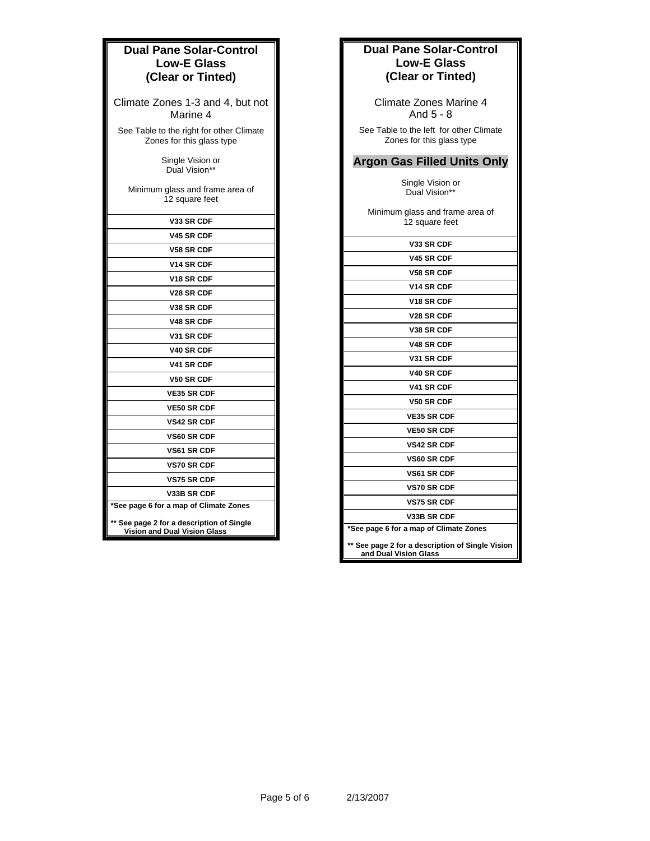## **Dual Pane Solar-Control Low-E Glass (Clear or Tinted)**

Climate Zones 1-3 and 4, but not Marine 4

See Table to the right for other Climate Zones for this glass type

> Single Vision or Dual Vision\*\*

Minimum glass and frame area of 12 square feet

| <b>V33 SR CDF</b>                      |
|----------------------------------------|
| <b>V45 SR CDF</b>                      |
| V58 SR CDF                             |
| V <sub>14</sub> SR CDF                 |
| V <sub>18</sub> SR CDF                 |
| <b>V28 SR CDF</b>                      |
| <b>V38 SR CDF</b>                      |
| <b>V48 SR CDF</b>                      |
| V31 SR CDF                             |
| V40 SR CDF                             |
| V41 SR CDF                             |
| V50 SR CDF                             |
| <b>VE35 SR CDF</b>                     |
| <b>VE50 SR CDF</b>                     |
| <b>VS42 SR CDF</b>                     |
| <b>VS60 SR CDF</b>                     |
| <b>VS61 SR CDF</b>                     |
| <b>VS70 SR CDF</b>                     |
| <b>VS75 SR CDF</b>                     |
| V33B SR CDF                            |
| *See page 6 for a map of Climate Zones |
|                                        |

**\*\* See page 2 for a description of Single Vision and Dual Vision Glass** 

## **Dual Pane Solar-Control Low-E Glass (Clear or Tinted)**

Climate Zones Marine 4 And 5 - 8

See Table to the left for other Climate Zones for this glass type

## **Argon Gas Filled Units Only**

Single Vision or Dual Vision\*\*

Minimum glass and frame area of 12 square feet

| <b>V33 SR CDF</b>                                                         |  |
|---------------------------------------------------------------------------|--|
| <b>V45 SR CDF</b>                                                         |  |
| <b>V58 SR CDF</b>                                                         |  |
| <b>V14 SR CDF</b>                                                         |  |
| V <sub>18</sub> SR CDF                                                    |  |
| V <sub>28</sub> SR CDF                                                    |  |
| V38 SR CDF                                                                |  |
| <b>V48 SR CDF</b>                                                         |  |
| V31 SR CDF                                                                |  |
| <b>V40 SR CDF</b>                                                         |  |
| V41 SR CDF                                                                |  |
| <b>V50 SR CDF</b>                                                         |  |
| <b>VE35 SR CDF</b>                                                        |  |
| <b>VE50 SR CDF</b>                                                        |  |
| <b>VS42 SR CDF</b>                                                        |  |
| <b>VS60 SR CDF</b>                                                        |  |
| VS61 SR CDF                                                               |  |
| <b>VS70 SR CDF</b>                                                        |  |
| <b>VS75 SR CDF</b>                                                        |  |
| V33B SR CDF                                                               |  |
| *See page 6 for a map of Climate Zones                                    |  |
| ** See page 2 for a description of Single Vision<br>and Dual Vision Glass |  |